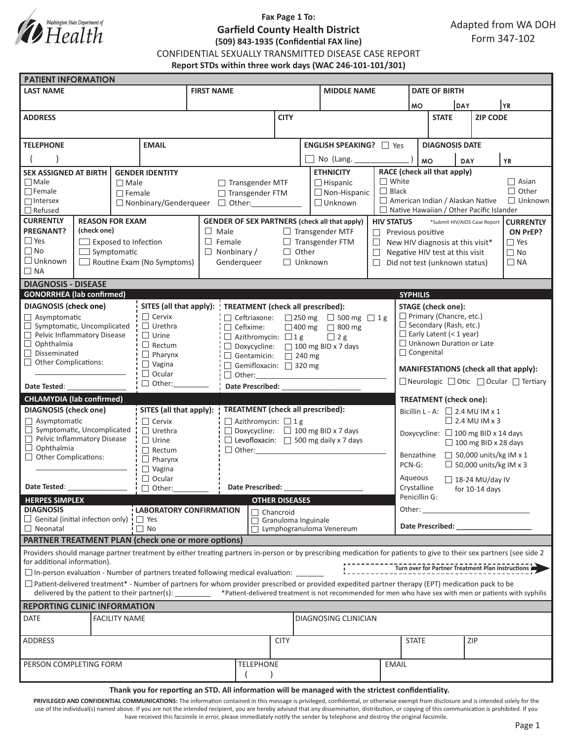

## **Fax Page 1 To: Garfield County Health District (509) 843-1935 (Confidential FAX line)**

CONFIDENTIAL SEXUALLY TRANSMITTED DISEASE CASE REPORT

**Report STDs within three work days (WAC 246-101-101/301)**

| <b>LAST NAME</b><br><b>FIRST NAME</b><br><b>MIDDLE NAME</b><br><b>DATE OF BIRTH</b><br><b>DAY</b><br>YR)<br><b>MO</b><br><b>ZIP CODE</b><br><b>CITY</b><br><b>STATE</b><br><b>ADDRESS</b><br><b>TELEPHONE</b><br><b>EMAIL</b><br><b>ENGLISH SPEAKING?</b> □ Yes<br><b>DIAGNOSIS DATE</b><br>No (Lang. ____<br><b>MO</b><br><b>YR</b><br><b>DAY</b><br>RACE (check all that apply)<br><b>ETHNICITY</b><br><b>SEX ASSIGNED AT BIRTH</b><br><b>GENDER IDENTITY</b><br>$\Box$ White<br>$\Box$ Asian<br>$\Box$ Male<br>$\Box$ Male<br>$\Box$ Transgender MTF<br>$\Box$ Hispanic<br>$\Box$ Black<br>$\Box$ Other<br>$\Box$ Female<br>$\Box$ Non-Hispanic<br>$\Box$ Female<br>□ Transgender FTM<br>$\Box$ Unknown<br>American Indian / Alaskan Native<br>$\Box$ Intersex<br>$\Box$ Unknown<br>□ Nonbinary/Genderqueer □ Other:<br>$\Box$ Refused<br>$\Box$ Native Hawaiian / Other Pacific Islander<br><b>CURRENTLY</b><br><b>REASON FOR EXAM</b><br><b>GENDER OF SEX PARTNERS (check all that apply)</b><br><b>HIV STATUS</b><br>*Submit HIV/AIDS Case Report<br><b>CURRENTLY</b><br><b>PREGNANT?</b><br>(check one)<br>$\Box$ Male<br>$\Box$ Transgender MTF<br>Previous positive<br>ON PrEP?<br>$\Box$<br>$\Box$ Yes<br>$\Box$ Female<br>$\Box$ Transgender FTM<br>$\Box$ Exposed to Infection<br>$\Box$ Yes<br>$\Box$<br>New HIV diagnosis at this visit*<br>$\Box$ No<br>$\Box$ Symptomatic<br>$\Box$ Other<br>$\Box$ Nonbinary /<br>$\Box$ No<br>$\Box$<br>Negative HIV test at this visit<br>$\Box$ Unknown<br>$\Box$ Routine Exam (No Symptoms)<br>Genderqueer<br>$\Box$ Unknown<br>$\Box$ NA<br>$\Box$<br>Did not test (unknown status)<br>$\Box$ NA<br><b>DIAGNOSIS - DISEASE</b><br><b>GONORRHEA</b> (lab confirmed)<br><b>SYPHILIS</b><br><b>DIAGNOSIS</b> (check one)<br>SITES (all that apply):<br><b>STAGE</b> (check one):<br>TREATMENT (check all prescribed):<br>$\Box$ Cervix<br>$\Box$ Primary (Chancre, etc.)<br>$\Box$ Asymptomatic<br>$\Box$ Ceftriaxone:<br>$\Box$ 250 mg $\Box$ 500 mg $\Box$ 1 g<br>$\Box$ Secondary (Rash, etc.)<br>Symptomatic, Uncomplicated<br>$\Box$ Urethra<br>$\Box$ Cefixime:<br>□ 400 mg □ 800 mg<br>$\Box$ Early Latent (< 1 year)<br>$\Box$ Pelvic Inflammatory Disease<br>$\Box$ Urine<br>$\Box$ Azithromycin: $\Box$ 1 g<br>$\Box$ 2 g<br>$\Box$ Unknown Duration or Late<br>$\Box$ Ophthalmia<br>$\Box$ Rectum<br>$\Box$ Doxycycline: $\Box$ 100 mg BID x 7 days<br>$\Box$ Congenital<br>$\Box$ Disseminated<br>$\Box$ Pharynx<br>$\Box$ Gentamicin: $\Box$ 240 mg<br>$\Box$ Other Complications:<br>$\Box$ Vagina<br>Gemifloxacin: 320 mg<br>MANIFESTATIONS (check all that apply):<br>$\Box$ Ocular<br>$\Box$ Neurologic $\Box$ Otic $\Box$ Ocular $\Box$ Tertiary<br>$\Box$ Other:<br>Date Prescribed: National Prescribed:<br>Date Tested:<br><b>CHLAMYDIA (lab confirmed)</b><br><b>TREATMENT</b> (check one):<br><b>TREATMENT</b> (check all prescribed):<br><b>DIAGNOSIS</b> (check one)<br>SITES (all that apply):<br>Bicillin L - A: $\Box$ 2.4 MU IM x 1<br>$\Box$ 2.4 MU IM x 3<br>$\Box$ Cervix<br>$\Box$ Azithromycin: $\Box$ 1 g<br>$\Box$ Asymptomatic<br>$\Box$ Symptomatic, Uncomplicated<br>$\Box$ Urethra<br>$\Box$ Doxycycline: $\Box$ 100 mg BID x 7 days<br>Doxycycline: $\Box$ 100 mg BID x 14 days<br>Pelvic Inflammatory Disease<br>$\Box$ Levofloxacin: $\Box$ 500 mg daily x 7 days<br>$\Box$ Urine<br>$\Box$ 100 mg BID x 28 days<br>$\Box$ Ophthalmia<br>$\Box$ Other:<br>$\Box$ Rectum<br>$\Box$ 50,000 units/kg IM x 1<br>Benzathine<br>$\Box$ Other Complications:<br>$\Box$ Pharynx<br>$\Box$ 50,000 units/kg IM x 3<br>PCN-G:<br>$\Box$ Vagina<br>$\Box$ Ocular<br>Aqueous<br>$\Box$ 18-24 MU/day IV<br>Date Tested:<br>Date Prescribed:<br>Crystalline<br>$\Box$ Other:<br>for $10-14$ days<br>Penicillin G:<br><b>HERPES SIMPLEX</b><br><b>OTHER DISEASES</b><br><b>DIAGNOSIS</b><br>Other:<br><b>LABORATORY CONFIRMATION</b><br><u> 1980 - Johann Barn, mars and de Branch Barn, mars and de Branch Barn, mars and de Branch Barn, mars and de Br</u><br>$\Box$ Chancroid<br>$\Box$ Genital (initial infection only) $\Box$ Yes<br>$\Box$ Granuloma Inguinale<br>Date Prescribed: Note that the present of the state of the state of the state of the state of the state of the state of the state of the state of the state of the state of the state of the state of the state of the state o<br>$\Box$ No<br>Lymphogranuloma Venereum<br>$\Box$ Neonatal<br><b>PARTNER TREATMENT PLAN (check one or more options)</b><br>Providers should manage partner treatment by either treating partners in-person or by prescribing medication for patients to give to their sex partners (see side 2<br>for additional information).<br>Turn over for Partner Treatment Plan Instructions<br>$\square$ In-person evaluation - Number of partners treated following medical evaluation: $\square$<br>$\Box$ Patient-delivered treatment* - Number of partners for whom provider prescribed or provided expedited partner therapy (EPT) medication pack to be<br>delivered by the patient to their partner(s): ________ *Patient-delivered treatment is not recommended for men who have sex with men or patients with syphilis<br><b>REPORTING CLINIC INFORMATION</b><br>DATE<br><b>FACILITY NAME</b><br>DIAGNOSING CLINICIAN<br>ZIP<br>ADDRESS<br><b>CITY</b><br><b>STATE</b><br>PERSON COMPLETING FORM<br><b>TELEPHONE</b><br><b>EMAIL</b><br>Thank you for reporting an STD. All information will be managed with the strictest confidentiality. | <b>PATIENT INFORMATION</b> |  |  |  |  |  |  |  |  |  |  |  |  |  |  |  |
|-------------------------------------------------------------------------------------------------------------------------------------------------------------------------------------------------------------------------------------------------------------------------------------------------------------------------------------------------------------------------------------------------------------------------------------------------------------------------------------------------------------------------------------------------------------------------------------------------------------------------------------------------------------------------------------------------------------------------------------------------------------------------------------------------------------------------------------------------------------------------------------------------------------------------------------------------------------------------------------------------------------------------------------------------------------------------------------------------------------------------------------------------------------------------------------------------------------------------------------------------------------------------------------------------------------------------------------------------------------------------------------------------------------------------------------------------------------------------------------------------------------------------------------------------------------------------------------------------------------------------------------------------------------------------------------------------------------------------------------------------------------------------------------------------------------------------------------------------------------------------------------------------------------------------------------------------------------------------------------------------------------------------------------------------------------------------------------------------------------------------------------------------------------------------------------------------------------------------------------------------------------------------------------------------------------------------------------------------------------------------------------------------------------------------------------------------------------------------------------------------------------------------------------------------------------------------------------------------------------------------------------------------------------------------------------------------------------------------------------------------------------------------------------------------------------------------------------------------------------------------------------------------------------------------------------------------------------------------------------------------------------------------------------------------------------------------------------------------------------------------------------------------------------------------------------------------------------------------------------------------------------------------------------------------------------------------------------------------------------------------------------------------------------------------------------------------------------------------------------------------------------------------------------------------------------------------------------------------------------------------------------------------------------------------------------------------------------------------------------------------------------------------------------------------------------------------------------------------------------------------------------------------------------------------------------------------------------------------------------------------------------------------------------------------------------------------------------------------------------------------------------------------------------------------------------------------------------------------------------------------------------------------------------------------------------------------------------------------------------------------------------------------------------------------------------------------------------------------------------------------------------------------------------------------------------------------------------------------------------------------------------------------------------------------------------------------------------------------------------------------------------------------------------------------------------------------------------------------------------------------------------------------------------------------------------------------------------------------------------------------------------------------------------------------------------------------------------------------------------------------------------------------------------------------------------------------------------------------------------------------------------------------------------------------------------------------------------------------------------------------------------------------------------------------------------------------------------------------------------------------------------------------------------|----------------------------|--|--|--|--|--|--|--|--|--|--|--|--|--|--|--|
|                                                                                                                                                                                                                                                                                                                                                                                                                                                                                                                                                                                                                                                                                                                                                                                                                                                                                                                                                                                                                                                                                                                                                                                                                                                                                                                                                                                                                                                                                                                                                                                                                                                                                                                                                                                                                                                                                                                                                                                                                                                                                                                                                                                                                                                                                                                                                                                                                                                                                                                                                                                                                                                                                                                                                                                                                                                                                                                                                                                                                                                                                                                                                                                                                                                                                                                                                                                                                                                                                                                                                                                                                                                                                                                                                                                                                                                                                                                                                                                                                                                                                                                                                                                                                                                                                                                                                                                                                                                                                                                                                                                                                                                                                                                                                                                                                                                                                                                                                                                                                                                                                                                                                                                                                                                                                                                                                                                                                                                                                                                                     |                            |  |  |  |  |  |  |  |  |  |  |  |  |  |  |  |
|                                                                                                                                                                                                                                                                                                                                                                                                                                                                                                                                                                                                                                                                                                                                                                                                                                                                                                                                                                                                                                                                                                                                                                                                                                                                                                                                                                                                                                                                                                                                                                                                                                                                                                                                                                                                                                                                                                                                                                                                                                                                                                                                                                                                                                                                                                                                                                                                                                                                                                                                                                                                                                                                                                                                                                                                                                                                                                                                                                                                                                                                                                                                                                                                                                                                                                                                                                                                                                                                                                                                                                                                                                                                                                                                                                                                                                                                                                                                                                                                                                                                                                                                                                                                                                                                                                                                                                                                                                                                                                                                                                                                                                                                                                                                                                                                                                                                                                                                                                                                                                                                                                                                                                                                                                                                                                                                                                                                                                                                                                                                     |                            |  |  |  |  |  |  |  |  |  |  |  |  |  |  |  |
|                                                                                                                                                                                                                                                                                                                                                                                                                                                                                                                                                                                                                                                                                                                                                                                                                                                                                                                                                                                                                                                                                                                                                                                                                                                                                                                                                                                                                                                                                                                                                                                                                                                                                                                                                                                                                                                                                                                                                                                                                                                                                                                                                                                                                                                                                                                                                                                                                                                                                                                                                                                                                                                                                                                                                                                                                                                                                                                                                                                                                                                                                                                                                                                                                                                                                                                                                                                                                                                                                                                                                                                                                                                                                                                                                                                                                                                                                                                                                                                                                                                                                                                                                                                                                                                                                                                                                                                                                                                                                                                                                                                                                                                                                                                                                                                                                                                                                                                                                                                                                                                                                                                                                                                                                                                                                                                                                                                                                                                                                                                                     |                            |  |  |  |  |  |  |  |  |  |  |  |  |  |  |  |
|                                                                                                                                                                                                                                                                                                                                                                                                                                                                                                                                                                                                                                                                                                                                                                                                                                                                                                                                                                                                                                                                                                                                                                                                                                                                                                                                                                                                                                                                                                                                                                                                                                                                                                                                                                                                                                                                                                                                                                                                                                                                                                                                                                                                                                                                                                                                                                                                                                                                                                                                                                                                                                                                                                                                                                                                                                                                                                                                                                                                                                                                                                                                                                                                                                                                                                                                                                                                                                                                                                                                                                                                                                                                                                                                                                                                                                                                                                                                                                                                                                                                                                                                                                                                                                                                                                                                                                                                                                                                                                                                                                                                                                                                                                                                                                                                                                                                                                                                                                                                                                                                                                                                                                                                                                                                                                                                                                                                                                                                                                                                     |                            |  |  |  |  |  |  |  |  |  |  |  |  |  |  |  |
|                                                                                                                                                                                                                                                                                                                                                                                                                                                                                                                                                                                                                                                                                                                                                                                                                                                                                                                                                                                                                                                                                                                                                                                                                                                                                                                                                                                                                                                                                                                                                                                                                                                                                                                                                                                                                                                                                                                                                                                                                                                                                                                                                                                                                                                                                                                                                                                                                                                                                                                                                                                                                                                                                                                                                                                                                                                                                                                                                                                                                                                                                                                                                                                                                                                                                                                                                                                                                                                                                                                                                                                                                                                                                                                                                                                                                                                                                                                                                                                                                                                                                                                                                                                                                                                                                                                                                                                                                                                                                                                                                                                                                                                                                                                                                                                                                                                                                                                                                                                                                                                                                                                                                                                                                                                                                                                                                                                                                                                                                                                                     |                            |  |  |  |  |  |  |  |  |  |  |  |  |  |  |  |
|                                                                                                                                                                                                                                                                                                                                                                                                                                                                                                                                                                                                                                                                                                                                                                                                                                                                                                                                                                                                                                                                                                                                                                                                                                                                                                                                                                                                                                                                                                                                                                                                                                                                                                                                                                                                                                                                                                                                                                                                                                                                                                                                                                                                                                                                                                                                                                                                                                                                                                                                                                                                                                                                                                                                                                                                                                                                                                                                                                                                                                                                                                                                                                                                                                                                                                                                                                                                                                                                                                                                                                                                                                                                                                                                                                                                                                                                                                                                                                                                                                                                                                                                                                                                                                                                                                                                                                                                                                                                                                                                                                                                                                                                                                                                                                                                                                                                                                                                                                                                                                                                                                                                                                                                                                                                                                                                                                                                                                                                                                                                     |                            |  |  |  |  |  |  |  |  |  |  |  |  |  |  |  |
|                                                                                                                                                                                                                                                                                                                                                                                                                                                                                                                                                                                                                                                                                                                                                                                                                                                                                                                                                                                                                                                                                                                                                                                                                                                                                                                                                                                                                                                                                                                                                                                                                                                                                                                                                                                                                                                                                                                                                                                                                                                                                                                                                                                                                                                                                                                                                                                                                                                                                                                                                                                                                                                                                                                                                                                                                                                                                                                                                                                                                                                                                                                                                                                                                                                                                                                                                                                                                                                                                                                                                                                                                                                                                                                                                                                                                                                                                                                                                                                                                                                                                                                                                                                                                                                                                                                                                                                                                                                                                                                                                                                                                                                                                                                                                                                                                                                                                                                                                                                                                                                                                                                                                                                                                                                                                                                                                                                                                                                                                                                                     |                            |  |  |  |  |  |  |  |  |  |  |  |  |  |  |  |
|                                                                                                                                                                                                                                                                                                                                                                                                                                                                                                                                                                                                                                                                                                                                                                                                                                                                                                                                                                                                                                                                                                                                                                                                                                                                                                                                                                                                                                                                                                                                                                                                                                                                                                                                                                                                                                                                                                                                                                                                                                                                                                                                                                                                                                                                                                                                                                                                                                                                                                                                                                                                                                                                                                                                                                                                                                                                                                                                                                                                                                                                                                                                                                                                                                                                                                                                                                                                                                                                                                                                                                                                                                                                                                                                                                                                                                                                                                                                                                                                                                                                                                                                                                                                                                                                                                                                                                                                                                                                                                                                                                                                                                                                                                                                                                                                                                                                                                                                                                                                                                                                                                                                                                                                                                                                                                                                                                                                                                                                                                                                     |                            |  |  |  |  |  |  |  |  |  |  |  |  |  |  |  |
|                                                                                                                                                                                                                                                                                                                                                                                                                                                                                                                                                                                                                                                                                                                                                                                                                                                                                                                                                                                                                                                                                                                                                                                                                                                                                                                                                                                                                                                                                                                                                                                                                                                                                                                                                                                                                                                                                                                                                                                                                                                                                                                                                                                                                                                                                                                                                                                                                                                                                                                                                                                                                                                                                                                                                                                                                                                                                                                                                                                                                                                                                                                                                                                                                                                                                                                                                                                                                                                                                                                                                                                                                                                                                                                                                                                                                                                                                                                                                                                                                                                                                                                                                                                                                                                                                                                                                                                                                                                                                                                                                                                                                                                                                                                                                                                                                                                                                                                                                                                                                                                                                                                                                                                                                                                                                                                                                                                                                                                                                                                                     |                            |  |  |  |  |  |  |  |  |  |  |  |  |  |  |  |
|                                                                                                                                                                                                                                                                                                                                                                                                                                                                                                                                                                                                                                                                                                                                                                                                                                                                                                                                                                                                                                                                                                                                                                                                                                                                                                                                                                                                                                                                                                                                                                                                                                                                                                                                                                                                                                                                                                                                                                                                                                                                                                                                                                                                                                                                                                                                                                                                                                                                                                                                                                                                                                                                                                                                                                                                                                                                                                                                                                                                                                                                                                                                                                                                                                                                                                                                                                                                                                                                                                                                                                                                                                                                                                                                                                                                                                                                                                                                                                                                                                                                                                                                                                                                                                                                                                                                                                                                                                                                                                                                                                                                                                                                                                                                                                                                                                                                                                                                                                                                                                                                                                                                                                                                                                                                                                                                                                                                                                                                                                                                     |                            |  |  |  |  |  |  |  |  |  |  |  |  |  |  |  |
|                                                                                                                                                                                                                                                                                                                                                                                                                                                                                                                                                                                                                                                                                                                                                                                                                                                                                                                                                                                                                                                                                                                                                                                                                                                                                                                                                                                                                                                                                                                                                                                                                                                                                                                                                                                                                                                                                                                                                                                                                                                                                                                                                                                                                                                                                                                                                                                                                                                                                                                                                                                                                                                                                                                                                                                                                                                                                                                                                                                                                                                                                                                                                                                                                                                                                                                                                                                                                                                                                                                                                                                                                                                                                                                                                                                                                                                                                                                                                                                                                                                                                                                                                                                                                                                                                                                                                                                                                                                                                                                                                                                                                                                                                                                                                                                                                                                                                                                                                                                                                                                                                                                                                                                                                                                                                                                                                                                                                                                                                                                                     |                            |  |  |  |  |  |  |  |  |  |  |  |  |  |  |  |
|                                                                                                                                                                                                                                                                                                                                                                                                                                                                                                                                                                                                                                                                                                                                                                                                                                                                                                                                                                                                                                                                                                                                                                                                                                                                                                                                                                                                                                                                                                                                                                                                                                                                                                                                                                                                                                                                                                                                                                                                                                                                                                                                                                                                                                                                                                                                                                                                                                                                                                                                                                                                                                                                                                                                                                                                                                                                                                                                                                                                                                                                                                                                                                                                                                                                                                                                                                                                                                                                                                                                                                                                                                                                                                                                                                                                                                                                                                                                                                                                                                                                                                                                                                                                                                                                                                                                                                                                                                                                                                                                                                                                                                                                                                                                                                                                                                                                                                                                                                                                                                                                                                                                                                                                                                                                                                                                                                                                                                                                                                                                     |                            |  |  |  |  |  |  |  |  |  |  |  |  |  |  |  |
|                                                                                                                                                                                                                                                                                                                                                                                                                                                                                                                                                                                                                                                                                                                                                                                                                                                                                                                                                                                                                                                                                                                                                                                                                                                                                                                                                                                                                                                                                                                                                                                                                                                                                                                                                                                                                                                                                                                                                                                                                                                                                                                                                                                                                                                                                                                                                                                                                                                                                                                                                                                                                                                                                                                                                                                                                                                                                                                                                                                                                                                                                                                                                                                                                                                                                                                                                                                                                                                                                                                                                                                                                                                                                                                                                                                                                                                                                                                                                                                                                                                                                                                                                                                                                                                                                                                                                                                                                                                                                                                                                                                                                                                                                                                                                                                                                                                                                                                                                                                                                                                                                                                                                                                                                                                                                                                                                                                                                                                                                                                                     |                            |  |  |  |  |  |  |  |  |  |  |  |  |  |  |  |
|                                                                                                                                                                                                                                                                                                                                                                                                                                                                                                                                                                                                                                                                                                                                                                                                                                                                                                                                                                                                                                                                                                                                                                                                                                                                                                                                                                                                                                                                                                                                                                                                                                                                                                                                                                                                                                                                                                                                                                                                                                                                                                                                                                                                                                                                                                                                                                                                                                                                                                                                                                                                                                                                                                                                                                                                                                                                                                                                                                                                                                                                                                                                                                                                                                                                                                                                                                                                                                                                                                                                                                                                                                                                                                                                                                                                                                                                                                                                                                                                                                                                                                                                                                                                                                                                                                                                                                                                                                                                                                                                                                                                                                                                                                                                                                                                                                                                                                                                                                                                                                                                                                                                                                                                                                                                                                                                                                                                                                                                                                                                     |                            |  |  |  |  |  |  |  |  |  |  |  |  |  |  |  |
|                                                                                                                                                                                                                                                                                                                                                                                                                                                                                                                                                                                                                                                                                                                                                                                                                                                                                                                                                                                                                                                                                                                                                                                                                                                                                                                                                                                                                                                                                                                                                                                                                                                                                                                                                                                                                                                                                                                                                                                                                                                                                                                                                                                                                                                                                                                                                                                                                                                                                                                                                                                                                                                                                                                                                                                                                                                                                                                                                                                                                                                                                                                                                                                                                                                                                                                                                                                                                                                                                                                                                                                                                                                                                                                                                                                                                                                                                                                                                                                                                                                                                                                                                                                                                                                                                                                                                                                                                                                                                                                                                                                                                                                                                                                                                                                                                                                                                                                                                                                                                                                                                                                                                                                                                                                                                                                                                                                                                                                                                                                                     |                            |  |  |  |  |  |  |  |  |  |  |  |  |  |  |  |
|                                                                                                                                                                                                                                                                                                                                                                                                                                                                                                                                                                                                                                                                                                                                                                                                                                                                                                                                                                                                                                                                                                                                                                                                                                                                                                                                                                                                                                                                                                                                                                                                                                                                                                                                                                                                                                                                                                                                                                                                                                                                                                                                                                                                                                                                                                                                                                                                                                                                                                                                                                                                                                                                                                                                                                                                                                                                                                                                                                                                                                                                                                                                                                                                                                                                                                                                                                                                                                                                                                                                                                                                                                                                                                                                                                                                                                                                                                                                                                                                                                                                                                                                                                                                                                                                                                                                                                                                                                                                                                                                                                                                                                                                                                                                                                                                                                                                                                                                                                                                                                                                                                                                                                                                                                                                                                                                                                                                                                                                                                                                     |                            |  |  |  |  |  |  |  |  |  |  |  |  |  |  |  |
|                                                                                                                                                                                                                                                                                                                                                                                                                                                                                                                                                                                                                                                                                                                                                                                                                                                                                                                                                                                                                                                                                                                                                                                                                                                                                                                                                                                                                                                                                                                                                                                                                                                                                                                                                                                                                                                                                                                                                                                                                                                                                                                                                                                                                                                                                                                                                                                                                                                                                                                                                                                                                                                                                                                                                                                                                                                                                                                                                                                                                                                                                                                                                                                                                                                                                                                                                                                                                                                                                                                                                                                                                                                                                                                                                                                                                                                                                                                                                                                                                                                                                                                                                                                                                                                                                                                                                                                                                                                                                                                                                                                                                                                                                                                                                                                                                                                                                                                                                                                                                                                                                                                                                                                                                                                                                                                                                                                                                                                                                                                                     |                            |  |  |  |  |  |  |  |  |  |  |  |  |  |  |  |
|                                                                                                                                                                                                                                                                                                                                                                                                                                                                                                                                                                                                                                                                                                                                                                                                                                                                                                                                                                                                                                                                                                                                                                                                                                                                                                                                                                                                                                                                                                                                                                                                                                                                                                                                                                                                                                                                                                                                                                                                                                                                                                                                                                                                                                                                                                                                                                                                                                                                                                                                                                                                                                                                                                                                                                                                                                                                                                                                                                                                                                                                                                                                                                                                                                                                                                                                                                                                                                                                                                                                                                                                                                                                                                                                                                                                                                                                                                                                                                                                                                                                                                                                                                                                                                                                                                                                                                                                                                                                                                                                                                                                                                                                                                                                                                                                                                                                                                                                                                                                                                                                                                                                                                                                                                                                                                                                                                                                                                                                                                                                     |                            |  |  |  |  |  |  |  |  |  |  |  |  |  |  |  |
|                                                                                                                                                                                                                                                                                                                                                                                                                                                                                                                                                                                                                                                                                                                                                                                                                                                                                                                                                                                                                                                                                                                                                                                                                                                                                                                                                                                                                                                                                                                                                                                                                                                                                                                                                                                                                                                                                                                                                                                                                                                                                                                                                                                                                                                                                                                                                                                                                                                                                                                                                                                                                                                                                                                                                                                                                                                                                                                                                                                                                                                                                                                                                                                                                                                                                                                                                                                                                                                                                                                                                                                                                                                                                                                                                                                                                                                                                                                                                                                                                                                                                                                                                                                                                                                                                                                                                                                                                                                                                                                                                                                                                                                                                                                                                                                                                                                                                                                                                                                                                                                                                                                                                                                                                                                                                                                                                                                                                                                                                                                                     |                            |  |  |  |  |  |  |  |  |  |  |  |  |  |  |  |
|                                                                                                                                                                                                                                                                                                                                                                                                                                                                                                                                                                                                                                                                                                                                                                                                                                                                                                                                                                                                                                                                                                                                                                                                                                                                                                                                                                                                                                                                                                                                                                                                                                                                                                                                                                                                                                                                                                                                                                                                                                                                                                                                                                                                                                                                                                                                                                                                                                                                                                                                                                                                                                                                                                                                                                                                                                                                                                                                                                                                                                                                                                                                                                                                                                                                                                                                                                                                                                                                                                                                                                                                                                                                                                                                                                                                                                                                                                                                                                                                                                                                                                                                                                                                                                                                                                                                                                                                                                                                                                                                                                                                                                                                                                                                                                                                                                                                                                                                                                                                                                                                                                                                                                                                                                                                                                                                                                                                                                                                                                                                     |                            |  |  |  |  |  |  |  |  |  |  |  |  |  |  |  |
|                                                                                                                                                                                                                                                                                                                                                                                                                                                                                                                                                                                                                                                                                                                                                                                                                                                                                                                                                                                                                                                                                                                                                                                                                                                                                                                                                                                                                                                                                                                                                                                                                                                                                                                                                                                                                                                                                                                                                                                                                                                                                                                                                                                                                                                                                                                                                                                                                                                                                                                                                                                                                                                                                                                                                                                                                                                                                                                                                                                                                                                                                                                                                                                                                                                                                                                                                                                                                                                                                                                                                                                                                                                                                                                                                                                                                                                                                                                                                                                                                                                                                                                                                                                                                                                                                                                                                                                                                                                                                                                                                                                                                                                                                                                                                                                                                                                                                                                                                                                                                                                                                                                                                                                                                                                                                                                                                                                                                                                                                                                                     |                            |  |  |  |  |  |  |  |  |  |  |  |  |  |  |  |
|                                                                                                                                                                                                                                                                                                                                                                                                                                                                                                                                                                                                                                                                                                                                                                                                                                                                                                                                                                                                                                                                                                                                                                                                                                                                                                                                                                                                                                                                                                                                                                                                                                                                                                                                                                                                                                                                                                                                                                                                                                                                                                                                                                                                                                                                                                                                                                                                                                                                                                                                                                                                                                                                                                                                                                                                                                                                                                                                                                                                                                                                                                                                                                                                                                                                                                                                                                                                                                                                                                                                                                                                                                                                                                                                                                                                                                                                                                                                                                                                                                                                                                                                                                                                                                                                                                                                                                                                                                                                                                                                                                                                                                                                                                                                                                                                                                                                                                                                                                                                                                                                                                                                                                                                                                                                                                                                                                                                                                                                                                                                     |                            |  |  |  |  |  |  |  |  |  |  |  |  |  |  |  |
|                                                                                                                                                                                                                                                                                                                                                                                                                                                                                                                                                                                                                                                                                                                                                                                                                                                                                                                                                                                                                                                                                                                                                                                                                                                                                                                                                                                                                                                                                                                                                                                                                                                                                                                                                                                                                                                                                                                                                                                                                                                                                                                                                                                                                                                                                                                                                                                                                                                                                                                                                                                                                                                                                                                                                                                                                                                                                                                                                                                                                                                                                                                                                                                                                                                                                                                                                                                                                                                                                                                                                                                                                                                                                                                                                                                                                                                                                                                                                                                                                                                                                                                                                                                                                                                                                                                                                                                                                                                                                                                                                                                                                                                                                                                                                                                                                                                                                                                                                                                                                                                                                                                                                                                                                                                                                                                                                                                                                                                                                                                                     |                            |  |  |  |  |  |  |  |  |  |  |  |  |  |  |  |
|                                                                                                                                                                                                                                                                                                                                                                                                                                                                                                                                                                                                                                                                                                                                                                                                                                                                                                                                                                                                                                                                                                                                                                                                                                                                                                                                                                                                                                                                                                                                                                                                                                                                                                                                                                                                                                                                                                                                                                                                                                                                                                                                                                                                                                                                                                                                                                                                                                                                                                                                                                                                                                                                                                                                                                                                                                                                                                                                                                                                                                                                                                                                                                                                                                                                                                                                                                                                                                                                                                                                                                                                                                                                                                                                                                                                                                                                                                                                                                                                                                                                                                                                                                                                                                                                                                                                                                                                                                                                                                                                                                                                                                                                                                                                                                                                                                                                                                                                                                                                                                                                                                                                                                                                                                                                                                                                                                                                                                                                                                                                     |                            |  |  |  |  |  |  |  |  |  |  |  |  |  |  |  |
|                                                                                                                                                                                                                                                                                                                                                                                                                                                                                                                                                                                                                                                                                                                                                                                                                                                                                                                                                                                                                                                                                                                                                                                                                                                                                                                                                                                                                                                                                                                                                                                                                                                                                                                                                                                                                                                                                                                                                                                                                                                                                                                                                                                                                                                                                                                                                                                                                                                                                                                                                                                                                                                                                                                                                                                                                                                                                                                                                                                                                                                                                                                                                                                                                                                                                                                                                                                                                                                                                                                                                                                                                                                                                                                                                                                                                                                                                                                                                                                                                                                                                                                                                                                                                                                                                                                                                                                                                                                                                                                                                                                                                                                                                                                                                                                                                                                                                                                                                                                                                                                                                                                                                                                                                                                                                                                                                                                                                                                                                                                                     |                            |  |  |  |  |  |  |  |  |  |  |  |  |  |  |  |
|                                                                                                                                                                                                                                                                                                                                                                                                                                                                                                                                                                                                                                                                                                                                                                                                                                                                                                                                                                                                                                                                                                                                                                                                                                                                                                                                                                                                                                                                                                                                                                                                                                                                                                                                                                                                                                                                                                                                                                                                                                                                                                                                                                                                                                                                                                                                                                                                                                                                                                                                                                                                                                                                                                                                                                                                                                                                                                                                                                                                                                                                                                                                                                                                                                                                                                                                                                                                                                                                                                                                                                                                                                                                                                                                                                                                                                                                                                                                                                                                                                                                                                                                                                                                                                                                                                                                                                                                                                                                                                                                                                                                                                                                                                                                                                                                                                                                                                                                                                                                                                                                                                                                                                                                                                                                                                                                                                                                                                                                                                                                     |                            |  |  |  |  |  |  |  |  |  |  |  |  |  |  |  |
|                                                                                                                                                                                                                                                                                                                                                                                                                                                                                                                                                                                                                                                                                                                                                                                                                                                                                                                                                                                                                                                                                                                                                                                                                                                                                                                                                                                                                                                                                                                                                                                                                                                                                                                                                                                                                                                                                                                                                                                                                                                                                                                                                                                                                                                                                                                                                                                                                                                                                                                                                                                                                                                                                                                                                                                                                                                                                                                                                                                                                                                                                                                                                                                                                                                                                                                                                                                                                                                                                                                                                                                                                                                                                                                                                                                                                                                                                                                                                                                                                                                                                                                                                                                                                                                                                                                                                                                                                                                                                                                                                                                                                                                                                                                                                                                                                                                                                                                                                                                                                                                                                                                                                                                                                                                                                                                                                                                                                                                                                                                                     |                            |  |  |  |  |  |  |  |  |  |  |  |  |  |  |  |
|                                                                                                                                                                                                                                                                                                                                                                                                                                                                                                                                                                                                                                                                                                                                                                                                                                                                                                                                                                                                                                                                                                                                                                                                                                                                                                                                                                                                                                                                                                                                                                                                                                                                                                                                                                                                                                                                                                                                                                                                                                                                                                                                                                                                                                                                                                                                                                                                                                                                                                                                                                                                                                                                                                                                                                                                                                                                                                                                                                                                                                                                                                                                                                                                                                                                                                                                                                                                                                                                                                                                                                                                                                                                                                                                                                                                                                                                                                                                                                                                                                                                                                                                                                                                                                                                                                                                                                                                                                                                                                                                                                                                                                                                                                                                                                                                                                                                                                                                                                                                                                                                                                                                                                                                                                                                                                                                                                                                                                                                                                                                     |                            |  |  |  |  |  |  |  |  |  |  |  |  |  |  |  |
|                                                                                                                                                                                                                                                                                                                                                                                                                                                                                                                                                                                                                                                                                                                                                                                                                                                                                                                                                                                                                                                                                                                                                                                                                                                                                                                                                                                                                                                                                                                                                                                                                                                                                                                                                                                                                                                                                                                                                                                                                                                                                                                                                                                                                                                                                                                                                                                                                                                                                                                                                                                                                                                                                                                                                                                                                                                                                                                                                                                                                                                                                                                                                                                                                                                                                                                                                                                                                                                                                                                                                                                                                                                                                                                                                                                                                                                                                                                                                                                                                                                                                                                                                                                                                                                                                                                                                                                                                                                                                                                                                                                                                                                                                                                                                                                                                                                                                                                                                                                                                                                                                                                                                                                                                                                                                                                                                                                                                                                                                                                                     |                            |  |  |  |  |  |  |  |  |  |  |  |  |  |  |  |
|                                                                                                                                                                                                                                                                                                                                                                                                                                                                                                                                                                                                                                                                                                                                                                                                                                                                                                                                                                                                                                                                                                                                                                                                                                                                                                                                                                                                                                                                                                                                                                                                                                                                                                                                                                                                                                                                                                                                                                                                                                                                                                                                                                                                                                                                                                                                                                                                                                                                                                                                                                                                                                                                                                                                                                                                                                                                                                                                                                                                                                                                                                                                                                                                                                                                                                                                                                                                                                                                                                                                                                                                                                                                                                                                                                                                                                                                                                                                                                                                                                                                                                                                                                                                                                                                                                                                                                                                                                                                                                                                                                                                                                                                                                                                                                                                                                                                                                                                                                                                                                                                                                                                                                                                                                                                                                                                                                                                                                                                                                                                     |                            |  |  |  |  |  |  |  |  |  |  |  |  |  |  |  |
|                                                                                                                                                                                                                                                                                                                                                                                                                                                                                                                                                                                                                                                                                                                                                                                                                                                                                                                                                                                                                                                                                                                                                                                                                                                                                                                                                                                                                                                                                                                                                                                                                                                                                                                                                                                                                                                                                                                                                                                                                                                                                                                                                                                                                                                                                                                                                                                                                                                                                                                                                                                                                                                                                                                                                                                                                                                                                                                                                                                                                                                                                                                                                                                                                                                                                                                                                                                                                                                                                                                                                                                                                                                                                                                                                                                                                                                                                                                                                                                                                                                                                                                                                                                                                                                                                                                                                                                                                                                                                                                                                                                                                                                                                                                                                                                                                                                                                                                                                                                                                                                                                                                                                                                                                                                                                                                                                                                                                                                                                                                                     |                            |  |  |  |  |  |  |  |  |  |  |  |  |  |  |  |
|                                                                                                                                                                                                                                                                                                                                                                                                                                                                                                                                                                                                                                                                                                                                                                                                                                                                                                                                                                                                                                                                                                                                                                                                                                                                                                                                                                                                                                                                                                                                                                                                                                                                                                                                                                                                                                                                                                                                                                                                                                                                                                                                                                                                                                                                                                                                                                                                                                                                                                                                                                                                                                                                                                                                                                                                                                                                                                                                                                                                                                                                                                                                                                                                                                                                                                                                                                                                                                                                                                                                                                                                                                                                                                                                                                                                                                                                                                                                                                                                                                                                                                                                                                                                                                                                                                                                                                                                                                                                                                                                                                                                                                                                                                                                                                                                                                                                                                                                                                                                                                                                                                                                                                                                                                                                                                                                                                                                                                                                                                                                     |                            |  |  |  |  |  |  |  |  |  |  |  |  |  |  |  |
|                                                                                                                                                                                                                                                                                                                                                                                                                                                                                                                                                                                                                                                                                                                                                                                                                                                                                                                                                                                                                                                                                                                                                                                                                                                                                                                                                                                                                                                                                                                                                                                                                                                                                                                                                                                                                                                                                                                                                                                                                                                                                                                                                                                                                                                                                                                                                                                                                                                                                                                                                                                                                                                                                                                                                                                                                                                                                                                                                                                                                                                                                                                                                                                                                                                                                                                                                                                                                                                                                                                                                                                                                                                                                                                                                                                                                                                                                                                                                                                                                                                                                                                                                                                                                                                                                                                                                                                                                                                                                                                                                                                                                                                                                                                                                                                                                                                                                                                                                                                                                                                                                                                                                                                                                                                                                                                                                                                                                                                                                                                                     |                            |  |  |  |  |  |  |  |  |  |  |  |  |  |  |  |
|                                                                                                                                                                                                                                                                                                                                                                                                                                                                                                                                                                                                                                                                                                                                                                                                                                                                                                                                                                                                                                                                                                                                                                                                                                                                                                                                                                                                                                                                                                                                                                                                                                                                                                                                                                                                                                                                                                                                                                                                                                                                                                                                                                                                                                                                                                                                                                                                                                                                                                                                                                                                                                                                                                                                                                                                                                                                                                                                                                                                                                                                                                                                                                                                                                                                                                                                                                                                                                                                                                                                                                                                                                                                                                                                                                                                                                                                                                                                                                                                                                                                                                                                                                                                                                                                                                                                                                                                                                                                                                                                                                                                                                                                                                                                                                                                                                                                                                                                                                                                                                                                                                                                                                                                                                                                                                                                                                                                                                                                                                                                     |                            |  |  |  |  |  |  |  |  |  |  |  |  |  |  |  |
|                                                                                                                                                                                                                                                                                                                                                                                                                                                                                                                                                                                                                                                                                                                                                                                                                                                                                                                                                                                                                                                                                                                                                                                                                                                                                                                                                                                                                                                                                                                                                                                                                                                                                                                                                                                                                                                                                                                                                                                                                                                                                                                                                                                                                                                                                                                                                                                                                                                                                                                                                                                                                                                                                                                                                                                                                                                                                                                                                                                                                                                                                                                                                                                                                                                                                                                                                                                                                                                                                                                                                                                                                                                                                                                                                                                                                                                                                                                                                                                                                                                                                                                                                                                                                                                                                                                                                                                                                                                                                                                                                                                                                                                                                                                                                                                                                                                                                                                                                                                                                                                                                                                                                                                                                                                                                                                                                                                                                                                                                                                                     |                            |  |  |  |  |  |  |  |  |  |  |  |  |  |  |  |
|                                                                                                                                                                                                                                                                                                                                                                                                                                                                                                                                                                                                                                                                                                                                                                                                                                                                                                                                                                                                                                                                                                                                                                                                                                                                                                                                                                                                                                                                                                                                                                                                                                                                                                                                                                                                                                                                                                                                                                                                                                                                                                                                                                                                                                                                                                                                                                                                                                                                                                                                                                                                                                                                                                                                                                                                                                                                                                                                                                                                                                                                                                                                                                                                                                                                                                                                                                                                                                                                                                                                                                                                                                                                                                                                                                                                                                                                                                                                                                                                                                                                                                                                                                                                                                                                                                                                                                                                                                                                                                                                                                                                                                                                                                                                                                                                                                                                                                                                                                                                                                                                                                                                                                                                                                                                                                                                                                                                                                                                                                                                     |                            |  |  |  |  |  |  |  |  |  |  |  |  |  |  |  |
|                                                                                                                                                                                                                                                                                                                                                                                                                                                                                                                                                                                                                                                                                                                                                                                                                                                                                                                                                                                                                                                                                                                                                                                                                                                                                                                                                                                                                                                                                                                                                                                                                                                                                                                                                                                                                                                                                                                                                                                                                                                                                                                                                                                                                                                                                                                                                                                                                                                                                                                                                                                                                                                                                                                                                                                                                                                                                                                                                                                                                                                                                                                                                                                                                                                                                                                                                                                                                                                                                                                                                                                                                                                                                                                                                                                                                                                                                                                                                                                                                                                                                                                                                                                                                                                                                                                                                                                                                                                                                                                                                                                                                                                                                                                                                                                                                                                                                                                                                                                                                                                                                                                                                                                                                                                                                                                                                                                                                                                                                                                                     |                            |  |  |  |  |  |  |  |  |  |  |  |  |  |  |  |
|                                                                                                                                                                                                                                                                                                                                                                                                                                                                                                                                                                                                                                                                                                                                                                                                                                                                                                                                                                                                                                                                                                                                                                                                                                                                                                                                                                                                                                                                                                                                                                                                                                                                                                                                                                                                                                                                                                                                                                                                                                                                                                                                                                                                                                                                                                                                                                                                                                                                                                                                                                                                                                                                                                                                                                                                                                                                                                                                                                                                                                                                                                                                                                                                                                                                                                                                                                                                                                                                                                                                                                                                                                                                                                                                                                                                                                                                                                                                                                                                                                                                                                                                                                                                                                                                                                                                                                                                                                                                                                                                                                                                                                                                                                                                                                                                                                                                                                                                                                                                                                                                                                                                                                                                                                                                                                                                                                                                                                                                                                                                     |                            |  |  |  |  |  |  |  |  |  |  |  |  |  |  |  |
|                                                                                                                                                                                                                                                                                                                                                                                                                                                                                                                                                                                                                                                                                                                                                                                                                                                                                                                                                                                                                                                                                                                                                                                                                                                                                                                                                                                                                                                                                                                                                                                                                                                                                                                                                                                                                                                                                                                                                                                                                                                                                                                                                                                                                                                                                                                                                                                                                                                                                                                                                                                                                                                                                                                                                                                                                                                                                                                                                                                                                                                                                                                                                                                                                                                                                                                                                                                                                                                                                                                                                                                                                                                                                                                                                                                                                                                                                                                                                                                                                                                                                                                                                                                                                                                                                                                                                                                                                                                                                                                                                                                                                                                                                                                                                                                                                                                                                                                                                                                                                                                                                                                                                                                                                                                                                                                                                                                                                                                                                                                                     |                            |  |  |  |  |  |  |  |  |  |  |  |  |  |  |  |
|                                                                                                                                                                                                                                                                                                                                                                                                                                                                                                                                                                                                                                                                                                                                                                                                                                                                                                                                                                                                                                                                                                                                                                                                                                                                                                                                                                                                                                                                                                                                                                                                                                                                                                                                                                                                                                                                                                                                                                                                                                                                                                                                                                                                                                                                                                                                                                                                                                                                                                                                                                                                                                                                                                                                                                                                                                                                                                                                                                                                                                                                                                                                                                                                                                                                                                                                                                                                                                                                                                                                                                                                                                                                                                                                                                                                                                                                                                                                                                                                                                                                                                                                                                                                                                                                                                                                                                                                                                                                                                                                                                                                                                                                                                                                                                                                                                                                                                                                                                                                                                                                                                                                                                                                                                                                                                                                                                                                                                                                                                                                     |                            |  |  |  |  |  |  |  |  |  |  |  |  |  |  |  |
|                                                                                                                                                                                                                                                                                                                                                                                                                                                                                                                                                                                                                                                                                                                                                                                                                                                                                                                                                                                                                                                                                                                                                                                                                                                                                                                                                                                                                                                                                                                                                                                                                                                                                                                                                                                                                                                                                                                                                                                                                                                                                                                                                                                                                                                                                                                                                                                                                                                                                                                                                                                                                                                                                                                                                                                                                                                                                                                                                                                                                                                                                                                                                                                                                                                                                                                                                                                                                                                                                                                                                                                                                                                                                                                                                                                                                                                                                                                                                                                                                                                                                                                                                                                                                                                                                                                                                                                                                                                                                                                                                                                                                                                                                                                                                                                                                                                                                                                                                                                                                                                                                                                                                                                                                                                                                                                                                                                                                                                                                                                                     |                            |  |  |  |  |  |  |  |  |  |  |  |  |  |  |  |
|                                                                                                                                                                                                                                                                                                                                                                                                                                                                                                                                                                                                                                                                                                                                                                                                                                                                                                                                                                                                                                                                                                                                                                                                                                                                                                                                                                                                                                                                                                                                                                                                                                                                                                                                                                                                                                                                                                                                                                                                                                                                                                                                                                                                                                                                                                                                                                                                                                                                                                                                                                                                                                                                                                                                                                                                                                                                                                                                                                                                                                                                                                                                                                                                                                                                                                                                                                                                                                                                                                                                                                                                                                                                                                                                                                                                                                                                                                                                                                                                                                                                                                                                                                                                                                                                                                                                                                                                                                                                                                                                                                                                                                                                                                                                                                                                                                                                                                                                                                                                                                                                                                                                                                                                                                                                                                                                                                                                                                                                                                                                     |                            |  |  |  |  |  |  |  |  |  |  |  |  |  |  |  |
|                                                                                                                                                                                                                                                                                                                                                                                                                                                                                                                                                                                                                                                                                                                                                                                                                                                                                                                                                                                                                                                                                                                                                                                                                                                                                                                                                                                                                                                                                                                                                                                                                                                                                                                                                                                                                                                                                                                                                                                                                                                                                                                                                                                                                                                                                                                                                                                                                                                                                                                                                                                                                                                                                                                                                                                                                                                                                                                                                                                                                                                                                                                                                                                                                                                                                                                                                                                                                                                                                                                                                                                                                                                                                                                                                                                                                                                                                                                                                                                                                                                                                                                                                                                                                                                                                                                                                                                                                                                                                                                                                                                                                                                                                                                                                                                                                                                                                                                                                                                                                                                                                                                                                                                                                                                                                                                                                                                                                                                                                                                                     |                            |  |  |  |  |  |  |  |  |  |  |  |  |  |  |  |
|                                                                                                                                                                                                                                                                                                                                                                                                                                                                                                                                                                                                                                                                                                                                                                                                                                                                                                                                                                                                                                                                                                                                                                                                                                                                                                                                                                                                                                                                                                                                                                                                                                                                                                                                                                                                                                                                                                                                                                                                                                                                                                                                                                                                                                                                                                                                                                                                                                                                                                                                                                                                                                                                                                                                                                                                                                                                                                                                                                                                                                                                                                                                                                                                                                                                                                                                                                                                                                                                                                                                                                                                                                                                                                                                                                                                                                                                                                                                                                                                                                                                                                                                                                                                                                                                                                                                                                                                                                                                                                                                                                                                                                                                                                                                                                                                                                                                                                                                                                                                                                                                                                                                                                                                                                                                                                                                                                                                                                                                                                                                     |                            |  |  |  |  |  |  |  |  |  |  |  |  |  |  |  |
|                                                                                                                                                                                                                                                                                                                                                                                                                                                                                                                                                                                                                                                                                                                                                                                                                                                                                                                                                                                                                                                                                                                                                                                                                                                                                                                                                                                                                                                                                                                                                                                                                                                                                                                                                                                                                                                                                                                                                                                                                                                                                                                                                                                                                                                                                                                                                                                                                                                                                                                                                                                                                                                                                                                                                                                                                                                                                                                                                                                                                                                                                                                                                                                                                                                                                                                                                                                                                                                                                                                                                                                                                                                                                                                                                                                                                                                                                                                                                                                                                                                                                                                                                                                                                                                                                                                                                                                                                                                                                                                                                                                                                                                                                                                                                                                                                                                                                                                                                                                                                                                                                                                                                                                                                                                                                                                                                                                                                                                                                                                                     |                            |  |  |  |  |  |  |  |  |  |  |  |  |  |  |  |
|                                                                                                                                                                                                                                                                                                                                                                                                                                                                                                                                                                                                                                                                                                                                                                                                                                                                                                                                                                                                                                                                                                                                                                                                                                                                                                                                                                                                                                                                                                                                                                                                                                                                                                                                                                                                                                                                                                                                                                                                                                                                                                                                                                                                                                                                                                                                                                                                                                                                                                                                                                                                                                                                                                                                                                                                                                                                                                                                                                                                                                                                                                                                                                                                                                                                                                                                                                                                                                                                                                                                                                                                                                                                                                                                                                                                                                                                                                                                                                                                                                                                                                                                                                                                                                                                                                                                                                                                                                                                                                                                                                                                                                                                                                                                                                                                                                                                                                                                                                                                                                                                                                                                                                                                                                                                                                                                                                                                                                                                                                                                     |                            |  |  |  |  |  |  |  |  |  |  |  |  |  |  |  |
|                                                                                                                                                                                                                                                                                                                                                                                                                                                                                                                                                                                                                                                                                                                                                                                                                                                                                                                                                                                                                                                                                                                                                                                                                                                                                                                                                                                                                                                                                                                                                                                                                                                                                                                                                                                                                                                                                                                                                                                                                                                                                                                                                                                                                                                                                                                                                                                                                                                                                                                                                                                                                                                                                                                                                                                                                                                                                                                                                                                                                                                                                                                                                                                                                                                                                                                                                                                                                                                                                                                                                                                                                                                                                                                                                                                                                                                                                                                                                                                                                                                                                                                                                                                                                                                                                                                                                                                                                                                                                                                                                                                                                                                                                                                                                                                                                                                                                                                                                                                                                                                                                                                                                                                                                                                                                                                                                                                                                                                                                                                                     |                            |  |  |  |  |  |  |  |  |  |  |  |  |  |  |  |
|                                                                                                                                                                                                                                                                                                                                                                                                                                                                                                                                                                                                                                                                                                                                                                                                                                                                                                                                                                                                                                                                                                                                                                                                                                                                                                                                                                                                                                                                                                                                                                                                                                                                                                                                                                                                                                                                                                                                                                                                                                                                                                                                                                                                                                                                                                                                                                                                                                                                                                                                                                                                                                                                                                                                                                                                                                                                                                                                                                                                                                                                                                                                                                                                                                                                                                                                                                                                                                                                                                                                                                                                                                                                                                                                                                                                                                                                                                                                                                                                                                                                                                                                                                                                                                                                                                                                                                                                                                                                                                                                                                                                                                                                                                                                                                                                                                                                                                                                                                                                                                                                                                                                                                                                                                                                                                                                                                                                                                                                                                                                     |                            |  |  |  |  |  |  |  |  |  |  |  |  |  |  |  |
|                                                                                                                                                                                                                                                                                                                                                                                                                                                                                                                                                                                                                                                                                                                                                                                                                                                                                                                                                                                                                                                                                                                                                                                                                                                                                                                                                                                                                                                                                                                                                                                                                                                                                                                                                                                                                                                                                                                                                                                                                                                                                                                                                                                                                                                                                                                                                                                                                                                                                                                                                                                                                                                                                                                                                                                                                                                                                                                                                                                                                                                                                                                                                                                                                                                                                                                                                                                                                                                                                                                                                                                                                                                                                                                                                                                                                                                                                                                                                                                                                                                                                                                                                                                                                                                                                                                                                                                                                                                                                                                                                                                                                                                                                                                                                                                                                                                                                                                                                                                                                                                                                                                                                                                                                                                                                                                                                                                                                                                                                                                                     |                            |  |  |  |  |  |  |  |  |  |  |  |  |  |  |  |
|                                                                                                                                                                                                                                                                                                                                                                                                                                                                                                                                                                                                                                                                                                                                                                                                                                                                                                                                                                                                                                                                                                                                                                                                                                                                                                                                                                                                                                                                                                                                                                                                                                                                                                                                                                                                                                                                                                                                                                                                                                                                                                                                                                                                                                                                                                                                                                                                                                                                                                                                                                                                                                                                                                                                                                                                                                                                                                                                                                                                                                                                                                                                                                                                                                                                                                                                                                                                                                                                                                                                                                                                                                                                                                                                                                                                                                                                                                                                                                                                                                                                                                                                                                                                                                                                                                                                                                                                                                                                                                                                                                                                                                                                                                                                                                                                                                                                                                                                                                                                                                                                                                                                                                                                                                                                                                                                                                                                                                                                                                                                     |                            |  |  |  |  |  |  |  |  |  |  |  |  |  |  |  |
|                                                                                                                                                                                                                                                                                                                                                                                                                                                                                                                                                                                                                                                                                                                                                                                                                                                                                                                                                                                                                                                                                                                                                                                                                                                                                                                                                                                                                                                                                                                                                                                                                                                                                                                                                                                                                                                                                                                                                                                                                                                                                                                                                                                                                                                                                                                                                                                                                                                                                                                                                                                                                                                                                                                                                                                                                                                                                                                                                                                                                                                                                                                                                                                                                                                                                                                                                                                                                                                                                                                                                                                                                                                                                                                                                                                                                                                                                                                                                                                                                                                                                                                                                                                                                                                                                                                                                                                                                                                                                                                                                                                                                                                                                                                                                                                                                                                                                                                                                                                                                                                                                                                                                                                                                                                                                                                                                                                                                                                                                                                                     |                            |  |  |  |  |  |  |  |  |  |  |  |  |  |  |  |
|                                                                                                                                                                                                                                                                                                                                                                                                                                                                                                                                                                                                                                                                                                                                                                                                                                                                                                                                                                                                                                                                                                                                                                                                                                                                                                                                                                                                                                                                                                                                                                                                                                                                                                                                                                                                                                                                                                                                                                                                                                                                                                                                                                                                                                                                                                                                                                                                                                                                                                                                                                                                                                                                                                                                                                                                                                                                                                                                                                                                                                                                                                                                                                                                                                                                                                                                                                                                                                                                                                                                                                                                                                                                                                                                                                                                                                                                                                                                                                                                                                                                                                                                                                                                                                                                                                                                                                                                                                                                                                                                                                                                                                                                                                                                                                                                                                                                                                                                                                                                                                                                                                                                                                                                                                                                                                                                                                                                                                                                                                                                     |                            |  |  |  |  |  |  |  |  |  |  |  |  |  |  |  |
|                                                                                                                                                                                                                                                                                                                                                                                                                                                                                                                                                                                                                                                                                                                                                                                                                                                                                                                                                                                                                                                                                                                                                                                                                                                                                                                                                                                                                                                                                                                                                                                                                                                                                                                                                                                                                                                                                                                                                                                                                                                                                                                                                                                                                                                                                                                                                                                                                                                                                                                                                                                                                                                                                                                                                                                                                                                                                                                                                                                                                                                                                                                                                                                                                                                                                                                                                                                                                                                                                                                                                                                                                                                                                                                                                                                                                                                                                                                                                                                                                                                                                                                                                                                                                                                                                                                                                                                                                                                                                                                                                                                                                                                                                                                                                                                                                                                                                                                                                                                                                                                                                                                                                                                                                                                                                                                                                                                                                                                                                                                                     |                            |  |  |  |  |  |  |  |  |  |  |  |  |  |  |  |
|                                                                                                                                                                                                                                                                                                                                                                                                                                                                                                                                                                                                                                                                                                                                                                                                                                                                                                                                                                                                                                                                                                                                                                                                                                                                                                                                                                                                                                                                                                                                                                                                                                                                                                                                                                                                                                                                                                                                                                                                                                                                                                                                                                                                                                                                                                                                                                                                                                                                                                                                                                                                                                                                                                                                                                                                                                                                                                                                                                                                                                                                                                                                                                                                                                                                                                                                                                                                                                                                                                                                                                                                                                                                                                                                                                                                                                                                                                                                                                                                                                                                                                                                                                                                                                                                                                                                                                                                                                                                                                                                                                                                                                                                                                                                                                                                                                                                                                                                                                                                                                                                                                                                                                                                                                                                                                                                                                                                                                                                                                                                     |                            |  |  |  |  |  |  |  |  |  |  |  |  |  |  |  |
|                                                                                                                                                                                                                                                                                                                                                                                                                                                                                                                                                                                                                                                                                                                                                                                                                                                                                                                                                                                                                                                                                                                                                                                                                                                                                                                                                                                                                                                                                                                                                                                                                                                                                                                                                                                                                                                                                                                                                                                                                                                                                                                                                                                                                                                                                                                                                                                                                                                                                                                                                                                                                                                                                                                                                                                                                                                                                                                                                                                                                                                                                                                                                                                                                                                                                                                                                                                                                                                                                                                                                                                                                                                                                                                                                                                                                                                                                                                                                                                                                                                                                                                                                                                                                                                                                                                                                                                                                                                                                                                                                                                                                                                                                                                                                                                                                                                                                                                                                                                                                                                                                                                                                                                                                                                                                                                                                                                                                                                                                                                                     |                            |  |  |  |  |  |  |  |  |  |  |  |  |  |  |  |

PRIVILEGED AND CONFIDENTIAL COMMUNICATIONS: The information contained in this message is privileged, confidential, or otherwise exempt from disclosure and is intended solely for the use of the individual(s) named above. If you are not the intended recipient, you are hereby advised that any dissemination, distribution, or copying of this communication is prohibited. If you have received this facsimile in error, please immediately notify the sender by telephone and destroy the original facsimile.